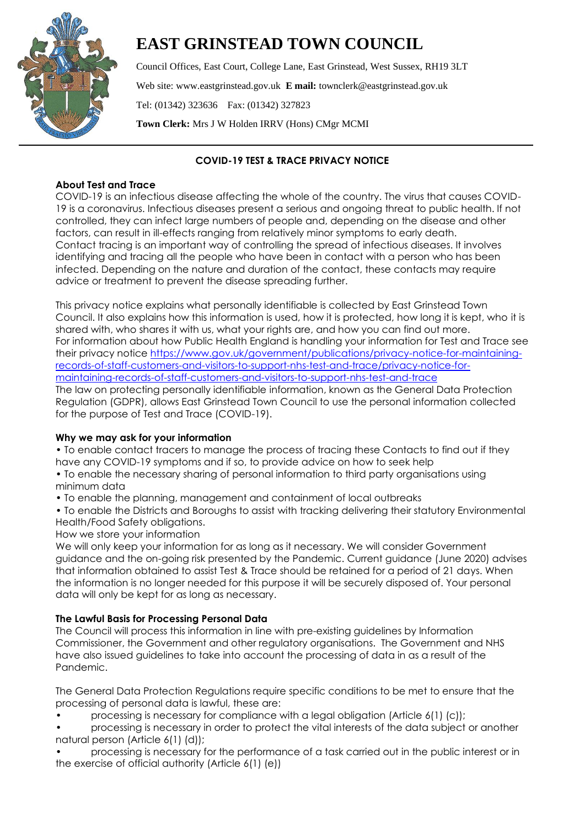

# **EAST GRINSTEAD TOWN COUNCIL**

Council Offices, East Court, College Lane, East Grinstead, West Sussex, RH19 3LT Web site: www.eastgrinstead.gov.uk **E mail:** townclerk@eastgrinstead.gov.uk Tel: (01342) 323636 Fax: (01342) 327823 **Town Clerk:** Mrs J W Holden IRRV (Hons) CMgr MCMI

# **COVID-19 TEST & TRACE PRIVACY NOTICE**

## **About Test and Trace**

COVID-19 is an infectious disease affecting the whole of the country. The virus that causes COVID-19 is a coronavirus. Infectious diseases present a serious and ongoing threat to public health. If not controlled, they can infect large numbers of people and, depending on the disease and other factors, can result in ill-effects ranging from relatively minor symptoms to early death. Contact tracing is an important way of controlling the spread of infectious diseases. It involves identifying and tracing all the people who have been in contact with a person who has been infected. Depending on the nature and duration of the contact, these contacts may require advice or treatment to prevent the disease spreading further.

This privacy notice explains what personally identifiable is collected by East Grinstead Town Council. It also explains how this information is used, how it is protected, how long it is kept, who it is shared with, who shares it with us, what your rights are, and how you can find out more. For information about how Public Health England is handling your information for Test and Trace see their privacy notice [https://www.gov.uk/government/publications/privacy-notice-for-maintaining](https://www.gov.uk/government/publications/privacy-notice-for-maintaining-records-of-staff-customers-and-visitors-to-support-nhs-test-and-trace/privacy-notice-for-maintaining-records-of-staff-customers-and-visitors-to-support-nhs-test-and-trace)[records-of-staff-customers-and-visitors-to-support-nhs-test-and-trace/privacy-notice-for](https://www.gov.uk/government/publications/privacy-notice-for-maintaining-records-of-staff-customers-and-visitors-to-support-nhs-test-and-trace/privacy-notice-for-maintaining-records-of-staff-customers-and-visitors-to-support-nhs-test-and-trace)[maintaining-records-of-staff-customers-and-visitors-to-support-nhs-test-and-trace](https://www.gov.uk/government/publications/privacy-notice-for-maintaining-records-of-staff-customers-and-visitors-to-support-nhs-test-and-trace/privacy-notice-for-maintaining-records-of-staff-customers-and-visitors-to-support-nhs-test-and-trace) The law on protecting personally identifiable information, known as the General Data Protection Regulation (GDPR), allows East Grinstead Town Council to use the personal information collected for the purpose of Test and Trace (COVID-19).

## **Why we may ask for your information**

• To enable contact tracers to manage the process of tracing these Contacts to find out if they have any COVID-19 symptoms and if so, to provide advice on how to seek help

- To enable the necessary sharing of personal information to third party organisations using minimum data
- To enable the planning, management and containment of local outbreaks
- To enable the Districts and Boroughs to assist with tracking delivering their statutory Environmental Health/Food Safety obligations.

How we store your information

We will only keep your information for as long as it necessary. We will consider Government guidance and the on-going risk presented by the Pandemic. Current guidance (June 2020) advises that information obtained to assist Test & Trace should be retained for a period of 21 days. When the information is no longer needed for this purpose it will be securely disposed of. Your personal data will only be kept for as long as necessary.

## **The Lawful Basis for Processing Personal Data**

The Council will process this information in line with pre-existing guidelines by Information Commissioner, the Government and other regulatory organisations. The Government and NHS have also issued guidelines to take into account the processing of data in as a result of the Pandemic.

The General Data Protection Regulations require specific conditions to be met to ensure that the processing of personal data is lawful, these are:

- processing is necessary for compliance with a legal obligation (Article 6(1) (c));
- processing is necessary in order to protect the vital interests of the data subject or another natural person (Article 6(1) (d));
- processing is necessary for the performance of a task carried out in the public interest or in the exercise of official authority (Article 6(1) (e))